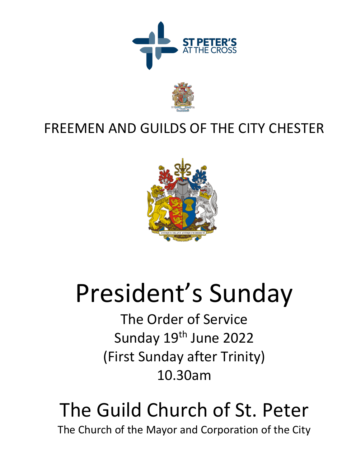



# FREEMEN AND GUILDS OF THE CITY CHESTER



# President's Sunday

The Order of Service Sunday 19th June 2022 (First Sunday after Trinity) 10.30am

# The Guild Church of St. Peter The Church of the Mayor and Corporation of the City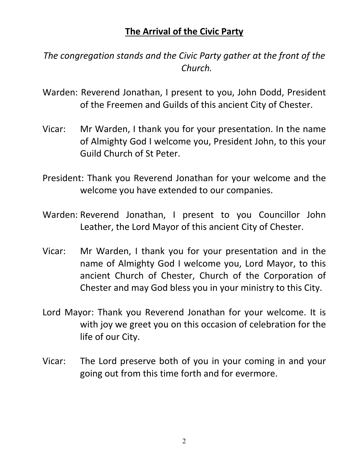# **The Arrival of the Civic Party**

*The congregation stands and the Civic Party gather at the front of the Church.*

- Warden: Reverend Jonathan, I present to you, John Dodd, President of the Freemen and Guilds of this ancient City of Chester.
- Vicar: Mr Warden, I thank you for your presentation. In the name of Almighty God I welcome you, President John, to this your Guild Church of St Peter.
- President: Thank you Reverend Jonathan for your welcome and the welcome you have extended to our companies.
- Warden: Reverend Jonathan, I present to you Councillor John Leather, the Lord Mayor of this ancient City of Chester.
- Vicar: Mr Warden, I thank you for your presentation and in the name of Almighty God I welcome you, Lord Mayor, to this ancient Church of Chester, Church of the Corporation of Chester and may God bless you in your ministry to this City.
- Lord Mayor: Thank you Reverend Jonathan for your welcome. It is with joy we greet you on this occasion of celebration for the life of our City.
- Vicar: The Lord preserve both of you in your coming in and your going out from this time forth and for evermore.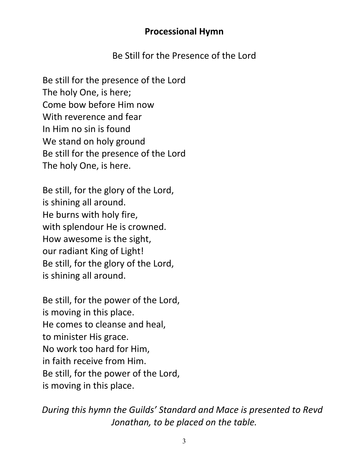## **Processional Hymn**

Be Still for the Presence of the Lord

Be still for the presence of the Lord The holy One, is here; Come bow before Him now With reverence and fear In Him no sin is found We stand on holy ground Be still for the presence of the Lord The holy One, is here.

Be still, for the glory of the Lord, is shining all around. He burns with holy fire, with splendour He is crowned. How awesome is the sight, our radiant King of Light! Be still, for the glory of the Lord, is shining all around.

Be still, for the power of the Lord, is moving in this place. He comes to cleanse and heal, to minister His grace. No work too hard for Him, in faith receive from Him. Be still, for the power of the Lord, is moving in this place.

*During this hymn the Guilds' Standard and Mace is presented to Revd Jonathan, to be placed on the table.*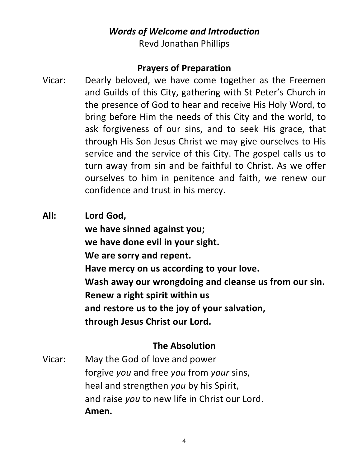# *Words of Welcome and Introduction*

Revd Jonathan Phillips

## **Prayers of Preparation**

- Vicar: Dearly beloved, we have come together as the Freemen and Guilds of this City, gathering with St Peter's Church in the presence of God to hear and receive His Holy Word, to bring before Him the needs of this City and the world, to ask forgiveness of our sins, and to seek His grace, that through His Son Jesus Christ we may give ourselves to His service and the service of this City. The gospel calls us to turn away from sin and be faithful to Christ. As we offer ourselves to him in penitence and faith, we renew our confidence and trust in his mercy.
- **All: Lord God, we have sinned against you; we have done evil in your sight. We are sorry and repent. Have mercy on us according to your love. Wash away our wrongdoing and cleanse us from our sin. Renew a right spirit within us and restore us to the joy of your salvation, through Jesus Christ our Lord.**

## **The Absolution**

Vicar: May the God of love and power forgive *you* and free *you* from *your* sins, heal and strengthen *you* by his Spirit, and raise *you* to new life in Christ our Lord. **Amen.**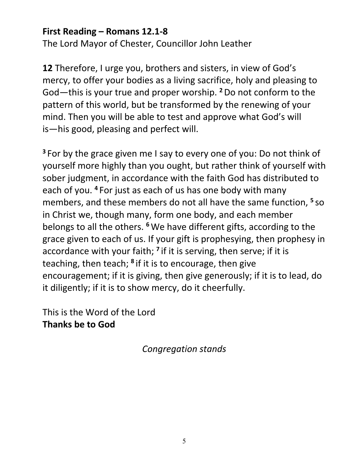## **First Reading – Romans 12.1-8**

The Lord Mayor of Chester, Councillor John Leather

**12** Therefore, I urge you, brothers and sisters, in view of God's mercy, to offer your bodies as a living sacrifice, holy and pleasing to God—this is your true and proper worship. **<sup>2</sup>**Do not conform to the pattern of this world, but be transformed by the renewing of your mind. Then you will be able to test and approve what God's will is—his good, pleasing and perfect will.

**<sup>3</sup>** For by the grace given me I say to every one of you: Do not think of yourself more highly than you ought, but rather think of yourself with sober judgment, in accordance with the faith God has distributed to each of you. **<sup>4</sup>** For just as each of us has one body with many members, and these members do not all have the same function, **<sup>5</sup>** so in Christ we, though many, form one body, and each member belongs to all the others. **<sup>6</sup>**We have different gifts, according to the grace given to each of us. If your gift is prophesying, then prophesy in accordance with your faith; **<sup>7</sup>** if it is serving, then serve; if it is teaching, then teach; **<sup>8</sup>** if it is to encourage, then give encouragement; if it is giving, then give generously; if it is to lead, do it diligently; if it is to show mercy, do it cheerfully.

This is the Word of the Lord **Thanks be to God**

*Congregation stands*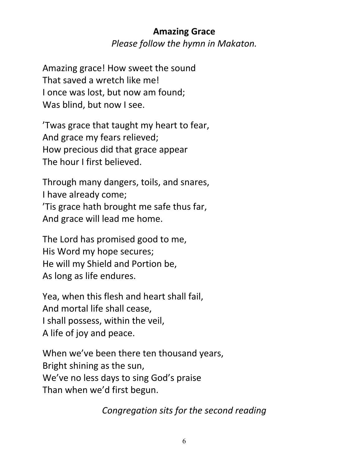# **Amazing Grace** *Please follow the hymn in Makaton.*

Amazing grace! How sweet the sound That saved a wretch like me! I once was lost, but now am found; Was blind, but now I see.

'Twas grace that taught my heart to fear, And grace my fears relieved; How precious did that grace appear The hour I first believed.

Through many dangers, toils, and snares, I have already come; 'Tis grace hath brought me safe thus far, And grace will lead me home.

The Lord has promised good to me, His Word my hope secures; He will my Shield and Portion be, As long as life endures.

Yea, when this flesh and heart shall fail, And mortal life shall cease, I shall possess, within the veil, A life of joy and peace.

When we've been there ten thousand years, Bright shining as the sun, We've no less days to sing God's praise Than when we'd first begun.

*Congregation sits for the second reading*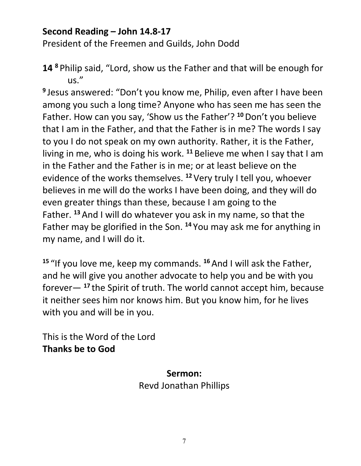# **Second Reading – John 14.8-17**

President of the Freemen and Guilds, John Dodd

**14 <sup>8</sup>** Philip said, "Lord, show us the Father and that will be enough for us."

**<sup>9</sup>** Jesus answered: "Don't you know me, Philip, even after I have been among you such a long time? Anyone who has seen me has seen the Father. How can you say, 'Show us the Father'? **<sup>10</sup>**Don't you believe that I am in the Father, and that the Father is in me? The words I say to you I do not speak on my own authority. Rather, it is the Father, living in me, who is doing his work. **<sup>11</sup>** Believe me when I say that I am in the Father and the Father is in me; or at least believe on the evidence of the works themselves. **<sup>12</sup>** Very truly I tell you, whoever believes in me will do the works I have been doing, and they will do even greater things than these, because I am going to the Father. **<sup>13</sup>**And I will do whatever you ask in my name, so that the Father may be glorified in the Son. **<sup>14</sup>** You may ask me for anything in my name, and I will do it.

**<sup>15</sup>** "If you love me, keep my commands. **<sup>16</sup>**And I will ask the Father, and he will give you another advocate to help you and be with you forever— **<sup>17</sup>** the Spirit of truth. The world cannot accept him, because it neither sees him nor knows him. But you know him, for he lives with you and will be in you.

This is the Word of the Lord **Thanks be to God**

> **Sermon:** Revd Jonathan Phillips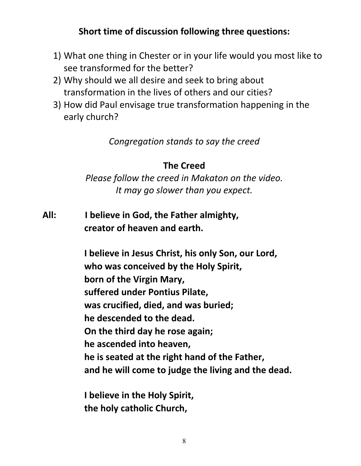# **Short time of discussion following three questions:**

- 1) What one thing in Chester or in your life would you most like to see transformed for the better?
- 2) Why should we all desire and seek to bring about transformation in the lives of others and our cities?
- 3) How did Paul envisage true transformation happening in the early church?

*Congregation stands to say the creed*

# **The Creed**

*Please follow the creed in Makaton on the video. It may go slower than you expect.*

**All: I believe in God, the Father almighty, creator of heaven and earth.**

> **I believe in Jesus Christ, his only Son, our Lord, who was conceived by the Holy Spirit, born of the Virgin Mary, suffered under Pontius Pilate, was crucified, died, and was buried; he descended to the dead. On the third day he rose again; he ascended into heaven, he is seated at the right hand of the Father, and he will come to judge the living and the dead.**

**I believe in the Holy Spirit, the holy catholic Church,**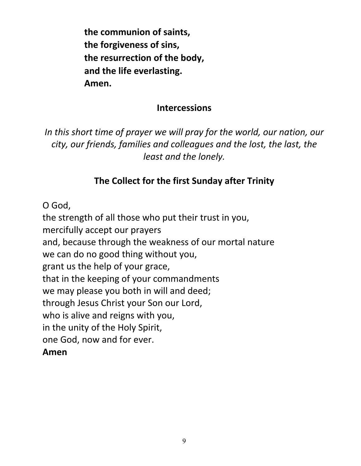**the communion of saints, the forgiveness of sins, the resurrection of the body, and the life everlasting. Amen.**

#### **Intercessions**

*In this short time of prayer we will pray for the world, our nation, our city, our friends, families and colleagues and the lost, the last, the least and the lonely.*

# **The Collect for the first Sunday after Trinity**

O God,

the strength of all those who put their trust in you, mercifully accept our prayers and, because through the weakness of our mortal nature we can do no good thing without you, grant us the help of your grace, that in the keeping of your commandments we may please you both in will and deed; through Jesus Christ your Son our Lord, who is alive and reigns with you, in the unity of the Holy Spirit, one God, now and for ever. **Amen**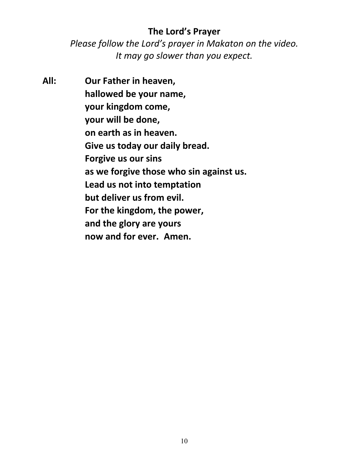## **The Lord's Prayer**

*Please follow the Lord's prayer in Makaton on the video. It may go slower than you expect.*

**All: Our Father in heaven, hallowed be your name, your kingdom come, your will be done, on earth as in heaven. Give us today our daily bread. Forgive us our sins as we forgive those who sin against us. Lead us not into temptation but deliver us from evil. For the kingdom, the power, and the glory are yours now and for ever. Amen.**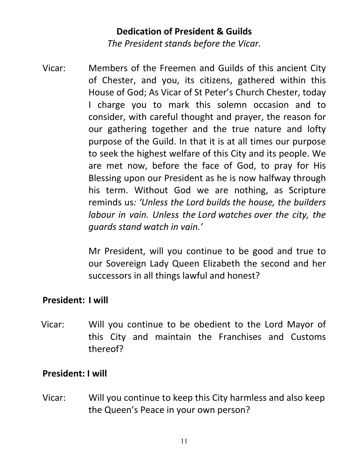# **Dedication of President & Guilds** *The President stands before the Vicar.*

Vicar: Members of the Freemen and Guilds of this ancient City of Chester, and you, its citizens, gathered within this House of God; As Vicar of St Peter's Church Chester, today I charge you to mark this solemn occasion and to consider, with careful thought and prayer, the reason for our gathering together and the true nature and lofty purpose of the Guild. In that it is at all times our purpose to seek the highest welfare of this City and its people. We are met now, before the face of God, to pray for His Blessing upon our President as he is now halfway through his term. Without God we are nothing, as Scripture reminds us*: 'Unless the Lord builds the house, the builders labour in vain. Unless the Lord watches over the city, the guards stand watch in vain.'*

> Mr President, will you continue to be good and true to our Sovereign Lady Queen Elizabeth the second and her successors in all things lawful and honest?

## **President: I will**

Vicar: Will you continue to be obedient to the Lord Mayor of this City and maintain the Franchises and Customs thereof?

#### **President: I will**

Vicar: Will you continue to keep this City harmless and also keep the Queen's Peace in your own person?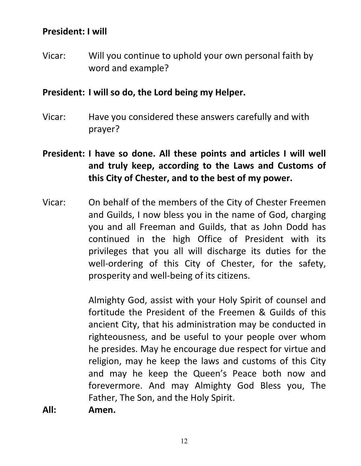#### **President: I will**

Vicar: Will you continue to uphold your own personal faith by word and example?

#### **President: I will so do, the Lord being my Helper.**

- Vicar: Have you considered these answers carefully and with prayer?
- **President: I have so done. All these points and articles I will well and truly keep, according to the Laws and Customs of this City of Chester, and to the best of my power.**
- Vicar: On behalf of the members of the City of Chester Freemen and Guilds, I now bless you in the name of God, charging you and all Freeman and Guilds, that as John Dodd has continued in the high Office of President with its privileges that you all will discharge its duties for the well-ordering of this City of Chester, for the safety, prosperity and well-being of its citizens.

Almighty God, assist with your Holy Spirit of counsel and fortitude the President of the Freemen & Guilds of this ancient City, that his administration may be conducted in righteousness, and be useful to your people over whom he presides. May he encourage due respect for virtue and religion, may he keep the laws and customs of this City and may he keep the Queen's Peace both now and forevermore. And may Almighty God Bless you, The Father, The Son, and the Holy Spirit.

**All: Amen.**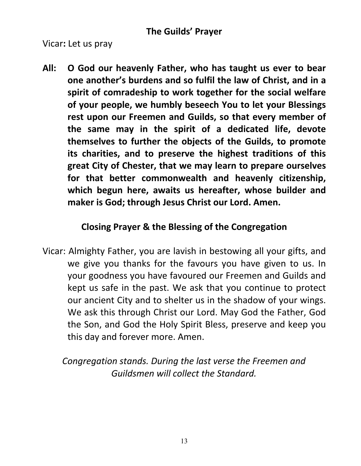Vicar**:** Let us pray

**All: O God our heavenly Father, who has taught us ever to bear one another's burdens and so fulfil the law of Christ, and in a spirit of comradeship to work together for the social welfare of your people, we humbly beseech You to let your Blessings rest upon our Freemen and Guilds, so that every member of the same may in the spirit of a dedicated life, devote themselves to further the objects of the Guilds, to promote its charities, and to preserve the highest traditions of this great City of Chester, that we may learn to prepare ourselves for that better commonwealth and heavenly citizenship, which begun here, awaits us hereafter, whose builder and maker is God; through Jesus Christ our Lord. Amen.**

# **Closing Prayer & the Blessing of the Congregation**

Vicar: Almighty Father, you are lavish in bestowing all your gifts, and we give you thanks for the favours you have given to us. In your goodness you have favoured our Freemen and Guilds and kept us safe in the past. We ask that you continue to protect our ancient City and to shelter us in the shadow of your wings. We ask this through Christ our Lord. May God the Father, God the Son, and God the Holy Spirit Bless, preserve and keep you this day and forever more. Amen.

*Congregation stands. During the last verse the Freemen and Guildsmen will collect the Standard.*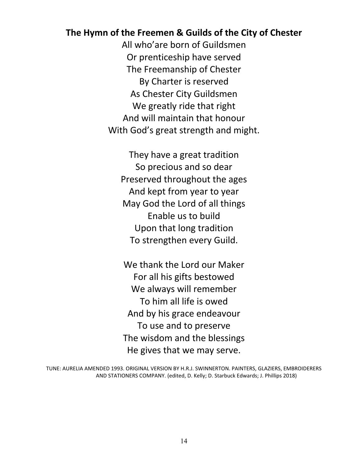#### **The Hymn of the Freemen & Guilds of the City of Chester**

All who'are born of Guildsmen Or prenticeship have served The Freemanship of Chester By Charter is reserved As Chester City Guildsmen We greatly ride that right And will maintain that honour With God's great strength and might.

They have a great tradition So precious and so dear Preserved throughout the ages And kept from year to year May God the Lord of all things Enable us to build Upon that long tradition To strengthen every Guild.

We thank the Lord our Maker For all his gifts bestowed We always will remember To him all life is owed And by his grace endeavour To use and to preserve The wisdom and the blessings He gives that we may serve.

TUNE: AURELIA AMENDED 1993. ORIGINAL VERSION BY H.R.J. SWINNERTON. PAINTERS, GLAZIERS, EMBROIDERERS AND STATIONERS COMPANY. (edited, D. Kelly; D. Starbuck Edwards; J. Phillips 2018)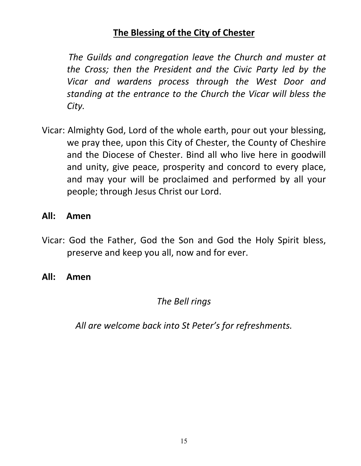# **The Blessing of the City of Chester**

*The Guilds and congregation leave the Church and muster at the Cross; then the President and the Civic Party led by the Vicar and wardens process through the West Door and standing at the entrance to the Church the Vicar will bless the City.*

Vicar: Almighty God, Lord of the whole earth, pour out your blessing, we pray thee, upon this City of Chester, the County of Cheshire and the Diocese of Chester. Bind all who live here in goodwill and unity, give peace, prosperity and concord to every place, and may your will be proclaimed and performed by all your people; through Jesus Christ our Lord.

#### **All: Amen**

- Vicar: God the Father, God the Son and God the Holy Spirit bless, preserve and keep you all, now and for ever.
- **All: Amen**

*The Bell rings*

*All are welcome back into St Peter's for refreshments.*